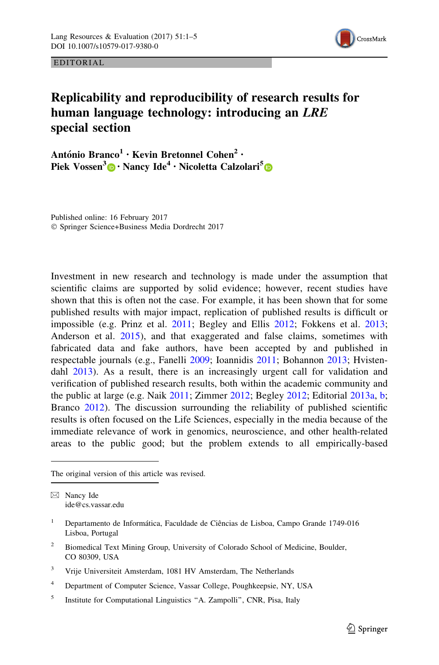

EDITORIAL

## Replicability and reproducibility of research results for human language technology: introducing an LRE special section

António Branco<sup>1</sup> • Kevin Bretonnel Cohen<sup>2</sup> • Piek Vossen<sup>3</sup> [•](http://orcid.org/0000-0002-6238-5941) Nancy Ide<sup>4</sup> · Nicoletta Calzolari<sup>5</sup> •

Published online: 16 February 2017 - Springer Science+Business Media Dordrecht 2017

Investment in new research and technology is made under the assumption that scientific claims are supported by solid evidence; however, recent studies have shown that this is often not the case. For example, it has been shown that for some published results with major impact, replication of published results is difficult or impossible (e.g. Prinz et al. [2011](#page-4-0); Begley and Ellis [2012;](#page-3-0) Fokkens et al. [2013;](#page-3-0) Anderson et al. [2015](#page-3-0)), and that exaggerated and false claims, sometimes with fabricated data and fake authors, have been accepted by and published in respectable journals (e.g., Fanelli [2009](#page-3-0); Ioannidis [2011](#page-3-0); Bohannon [2013;](#page-3-0) Hvisten-dahl [2013](#page-3-0)). As a result, there is an increasingly urgent call for validation and verification of published research results, both within the academic community and the public at large (e.g. Naik [2011;](#page-4-0) Zimmer [2012](#page-4-0); Begley [2012](#page-3-0); Editorial [2013a](#page-3-0), [b;](#page-3-0) Branco [2012\)](#page-3-0). The discussion surrounding the reliability of published scientific results is often focused on the Life Sciences, especially in the media because of the immediate relevance of work in genomics, neuroscience, and other health-related areas to the public good; but the problem extends to all empirically-based

The original version of this article was revised.

 $\boxtimes$  Nancy Ide ide@cs.vassar.edu

- <sup>2</sup> Biomedical Text Mining Group, University of Colorado School of Medicine, Boulder, CO 80309, USA
- <sup>3</sup> Vrije Universiteit Amsterdam, 1081 HV Amsterdam, The Netherlands
- <sup>4</sup> Department of Computer Science, Vassar College, Poughkeepsie, NY, USA
- <sup>5</sup> Institute for Computational Linguistics "A. Zampolli", CNR, Pisa, Italy

<sup>&</sup>lt;sup>1</sup> Departamento de Informática, Faculdade de Ciências de Lisboa, Campo Grande 1749-016 Lisboa, Portugal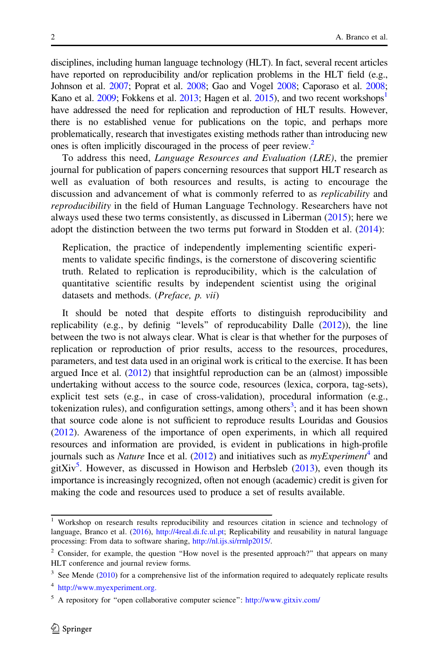disciplines, including human language technology (HLT). In fact, several recent articles have reported on reproducibility and/or replication problems in the HLT field (e.g., Johnson et al. [2007;](#page-3-0) Poprat et al. [2008](#page-4-0); Gao and Vogel [2008;](#page-3-0) Caporaso et al. [2008;](#page-3-0) Kano et al.  $2009$ ; Fokkens et al.  $2013$ ; Hagen et al.  $2015$ ), and two recent workshops<sup>1</sup> have addressed the need for replication and reproduction of HLT results. However, there is no established venue for publications on the topic, and perhaps more problematically, research that investigates existing methods rather than introducing new ones is often implicitly discouraged in the process of peer review.<sup>2</sup>

To address this need, Language Resources and Evaluation (LRE), the premier journal for publication of papers concerning resources that support HLT research as well as evaluation of both resources and results, is acting to encourage the discussion and advancement of what is commonly referred to as replicability and reproducibility in the field of Human Language Technology. Researchers have not always used these two terms consistently, as discussed in Liberman [\(2015](#page-3-0)); here we adopt the distinction between the two terms put forward in Stodden et al. [\(2014](#page-4-0)):

Replication, the practice of independently implementing scientific experiments to validate specific findings, is the cornerstone of discovering scientific truth. Related to replication is reproducibility, which is the calculation of quantitative scientific results by independent scientist using the original datasets and methods. (Preface, p. vii)

It should be noted that despite efforts to distinguish reproducibility and replicability (e.g., by definig ''levels'' of reproducability Dalle ([2012](#page-3-0))), the line between the two is not always clear. What is clear is that whether for the purposes of replication or reproduction of prior results, access to the resources, procedures, parameters, and test data used in an original work is critical to the exercise. It has been argued Ince et al. [\(2012\)](#page-3-0) that insightful reproduction can be an (almost) impossible undertaking without access to the source code, resources (lexica, corpora, tag-sets), explicit test sets (e.g., in case of cross-validation), procedural information (e.g., tokenization rules), and configuration settings, among others<sup>3</sup>; and it has been shown that source code alone is not sufficient to reproduce results Louridas and Gousios [\(2012\)](#page-3-0). Awareness of the importance of open experiments, in which all required resources and information are provided, is evident in publications in high-profile journals such as *Nature* Ince et al.  $(2012)$  $(2012)$  $(2012)$  and initiatives such as *myExperiment*<sup>4</sup> and gitXiv<sup>5</sup>. However, as discussed in Howison and Herbsleb  $(2013)$ , even though its importance is increasingly recognized, often not enough (academic) credit is given for making the code and resources used to produce a set of results available.

<sup>&</sup>lt;sup>1</sup> Workshop on research results reproducibility and resources citation in science and technology of language, Branco et al. ([2016\)](#page-3-0), <http://4real.di.fc.ul.pt>; Replicability and reusability in natural language processing: From data to software sharing, [http://nl.ijs.si/rrnlp2015/.](http://nl.ijs.si/rrnlp2015/)

<sup>&</sup>lt;sup>2</sup> Consider, for example, the question "How novel is the presented approach?" that appears on many HLT conference and journal review forms.

 $3$  See Mende [\(2010](#page-4-0)) for a comprehensive list of the information required to adequately replicate results

<sup>4</sup> [http://www.myexperiment.org.](https://www.myexperiment.org/home)

<sup>5</sup> A repository for ''open collaborative computer science'': <http://www.gitxiv.com/>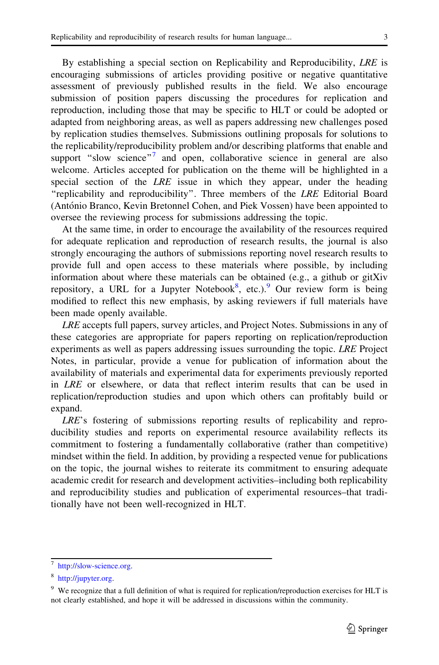By establishing a special section on Replicability and Reproducibility, LRE is encouraging submissions of articles providing positive or negative quantitative assessment of previously published results in the field. We also encourage submission of position papers discussing the procedures for replication and reproduction, including those that may be specific to HLT or could be adopted or adapted from neighboring areas, as well as papers addressing new challenges posed by replication studies themselves. Submissions outlining proposals for solutions to the replicability/reproducibility problem and/or describing platforms that enable and support "slow science"<sup>7</sup> and open, collaborative science in general are also welcome. Articles accepted for publication on the theme will be highlighted in a special section of the *LRE* issue in which they appear, under the heading "replicability and reproducibility". Three members of the LRE Editorial Board (António Branco, Kevin Bretonnel Cohen, and Piek Vossen) have been appointed to oversee the reviewing process for submissions addressing the topic.

At the same time, in order to encourage the availability of the resources required for adequate replication and reproduction of research results, the journal is also strongly encouraging the authors of submissions reporting novel research results to provide full and open access to these materials where possible, by including information about where these materials can be obtained (e.g., a github or gitXiv repository, a URL for a Jupyter Notebook<sup>8</sup>, etc.).<sup>9</sup> Our review form is being modified to reflect this new emphasis, by asking reviewers if full materials have been made openly available.

LRE accepts full papers, survey articles, and Project Notes. Submissions in any of these categories are appropriate for papers reporting on replication/reproduction experiments as well as papers addressing issues surrounding the topic. LRE Project Notes, in particular, provide a venue for publication of information about the availability of materials and experimental data for experiments previously reported in LRE or elsewhere, or data that reflect interim results that can be used in replication/reproduction studies and upon which others can profitably build or expand.

LRE's fostering of submissions reporting results of replicability and reproducibility studies and reports on experimental resource availability reflects its commitment to fostering a fundamentally collaborative (rather than competitive) mindset within the field. In addition, by providing a respected venue for publications on the topic, the journal wishes to reiterate its commitment to ensuring adequate academic credit for research and development activities–including both replicability and reproducibility studies and publication of experimental resources–that traditionally have not been well-recognized in HLT.

<sup>7</sup> [http://slow-science.org.](http://slow-science.org)

<sup>8</sup> <http://jupyter.org>.

<sup>&</sup>lt;sup>9</sup> We recognize that a full definition of what is required for replication/reproduction exercises for HLT is not clearly established, and hope it will be addressed in discussions within the community.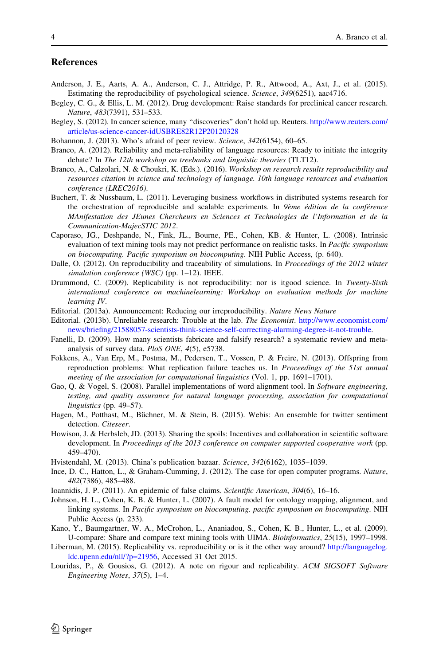## <span id="page-3-0"></span>**References**

- Anderson, J. E., Aarts, A. A., Anderson, C. J., Attridge, P. R., Attwood, A., Axt, J., et al. (2015). Estimating the reproducibility of psychological science. Science, 349(6251), aac4716.
- Begley, C. G., & Ellis, L. M. (2012). Drug development: Raise standards for preclinical cancer research. Nature, 483(7391), 531–533.
- Begley, S. (2012). In cancer science, many "discoveries" don't hold up. Reuters. [http://www.reuters.com/](http://www.reuters.com/article/us-science-cancer-idUSBRE82R12P20120328) [article/us-science-cancer-idUSBRE82R12P20120328](http://www.reuters.com/article/us-science-cancer-idUSBRE82R12P20120328)
- Bohannon, J. (2013). Who's afraid of peer review. Science, 342(6154), 60–65.
- Branco, A. (2012). Reliability and meta-reliability of language resources: Ready to initiate the integrity debate? In The 12th workshop on treebanks and linguistic theories (TLT12).
- Branco, A., Calzolari, N. & Choukri, K. (Eds.). (2016). Workshop on research results reproducibility and resources citation in science and technology of language. 10th language resources and evaluation conference (LREC2016).
- Buchert, T. & Nussbaum, L. (2011). Leveraging business workflows in distributed systems research for the orchestration of reproducible and scalable experiments. In 9ème édition de la conférence MAnifestation des JEunes Chercheurs en Sciences et Technologies de l'Information et de la Communication-MajecSTIC 2012.
- Caporaso, JG., Deshpande, N., Fink, JL., Bourne, PE., Cohen, KB. & Hunter, L. (2008). Intrinsic evaluation of text mining tools may not predict performance on realistic tasks. In Pacific symposium on biocomputing. Pacific symposium on biocomputing. NIH Public Access, (p. 640).
- Dalle, O. (2012). On reproducibility and traceability of simulations. In Proceedings of the 2012 winter simulation conference (WSC) (pp. 1-12). IEEE.
- Drummond, C. (2009). Replicability is not reproducibility: nor is itgood science. In Twenty-Sixth international conference on machinelearning: Workshop on evaluation methods for machine learning IV.
- Editorial. (2013a). Announcement: Reducing our irreproducibility. Nature News Nature
- Editorial. (2013b). Unreliable research: Trouble at the lab. The Economist. [http://www.economist.com/](http://www.economist.com/news/briefing/21588057-scientists-think-science-self-correcting-alarming-degree-it-not-trouble) [news/briefing/21588057-scientists-think-science-self-correcting-alarming-degree-it-not-trouble.](http://www.economist.com/news/briefing/21588057-scientists-think-science-self-correcting-alarming-degree-it-not-trouble)
- Fanelli, D. (2009). How many scientists fabricate and falsify research? a systematic review and metaanalysis of survey data. PloS ONE, 4(5), e5738.
- Fokkens, A., Van Erp, M., Postma, M., Pedersen, T., Vossen, P. & Freire, N. (2013). Offspring from reproduction problems: What replication failure teaches us. In *Proceedings of the 51st annual* meeting of the association for computational linguistics (Vol. 1, pp. 1691–1701).
- Gao, Q. & Vogel, S. (2008). Parallel implementations of word alignment tool. In Software engineering, testing, and quality assurance for natural language processing, association for computational linguistics (pp. 49–57).
- Hagen, M., Potthast, M., Büchner, M. & Stein, B. (2015). Webis: An ensemble for twitter sentiment detection. Citeseer.
- Howison, J. & Herbsleb, JD. (2013). Sharing the spoils: Incentives and collaboration in scientific software development. In *Proceedings of the 2013 conference on computer supported cooperative work* (pp. 459–470).
- Hvistendahl, M. (2013). China's publication bazaar. Science, 342(6162), 1035–1039.
- Ince, D. C., Hatton, L., & Graham-Cumming, J. (2012). The case for open computer programs. Nature, 482(7386), 485–488.
- Ioannidis, J. P. (2011). An epidemic of false claims. Scientific American, 304(6), 16–16.
- Johnson, H. L., Cohen, K. B. & Hunter, L. (2007). A fault model for ontology mapping, alignment, and linking systems. In Pacific symposium on biocomputing. pacific symposium on biocomputing. NIH Public Access (p. 233).
- Kano, Y., Baumgartner, W. A., McCrohon, L., Ananiadou, S., Cohen, K. B., Hunter, L., et al. (2009). U-compare: Share and compare text mining tools with UIMA. Bioinformatics, 25(15), 1997–1998.
- Liberman, M. (2015). Replicability vs. reproducibility or is it the other way around? [http://languagelog.](http://languagelog.ldc.upenn.edu/nll/?p=21956) [ldc.upenn.edu/nll/?p=21956](http://languagelog.ldc.upenn.edu/nll/?p=21956), Accessed 31 Oct 2015.
- Louridas, P., & Gousios, G. (2012). A note on rigour and replicability. ACM SIGSOFT Software Engineering Notes, 37(5), 1–4.